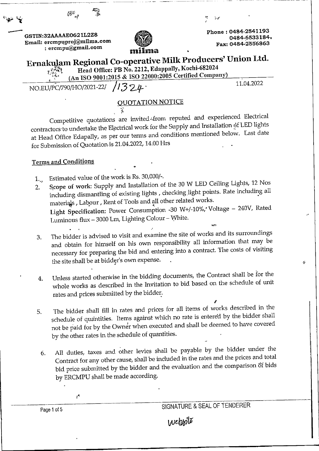| ి చన                                                                       | الوديا                                                                                                                                                                   |
|----------------------------------------------------------------------------|--------------------------------------------------------------------------------------------------------------------------------------------------------------------------|
| GSTIN:32AAAAE0621L2Z8<br>Email: ercmpuproj@milma.com<br>: ercmpu@gmail.com | Phone: 0484-2541193<br>0484-6533184.<br>Fax: 0484-2556863<br>milma                                                                                                       |
|                                                                            | Ernakulam Regional Co-operative Milk Producers' Union Ltd.<br>Head Office: PB No. 2212, Edappally, Kochi-682024<br>(An ISO 9001:2015 & ISO 22000:2005 Certified Company) |
| NO.EU/PC/790/HO/2021-22/ /1324                                             | 11.04.2022                                                                                                                                                               |
|                                                                            | <b>QUOTATION NOTICE</b>                                                                                                                                                  |

Competitive quotations are invited from reputed and experienced Electrical contractors to undertake the Electrical work for the Supply and Installation of LED lights at Head Office Edapally, as per our terms and conditions mentioned below. Last date for Submission of Quotation is 21.04.2022, 14.00 Hrs

## **Terms and Conditions**

 $\mathcal{G}^{\mathcal{M}}$  .

- Estimated value of the work is Rs. 30,000/-.  $1_{\nu}$
- Scope of work: Supply and Installation of the 30 W LED Ceiling Lights, 12 Nos 2. including dismantling of existing lights, checking light points. Rate including all materials, Labour, Rent of Tools and all other related works. Light Specification: Power Consumption -30 W+/-10%, Voltage - 240V, Rated Luminous flux - 3000 Lm, Lighting Colour - White.
- The bidder is advised to visit and examine the site of works and its surroundings 3. and obtain for himself on his own responsibility all information that may be necessary for preparing the bid and entering into a contract. The costs of visiting the site shall be at bidder's own expense.
- Unless started otherwise in the bidding documents, the Contract shall be for the  $\overline{4}$ . whole works as described in the Invitation to bid based on the schedule of unit rates and prices submitted by the bidder.
- The bidder shall fill in rates and prices for all items of works described in the 5. schedule of quantities. Items against which no rate is entered by the bidder shall not be paid for by the Owner when executed and shall be deemed to have covered by the other rates in the schedule of quantities.
- All duties, taxes and other levies shall be payable by the bidder under the 6. Contract for any other cause, shall be included in the rates and the prices and total bid price submitted by the bidder and the evaluation and the comparison of bids by ERCMPU shall be made according.

SIGNATURE & SEAL OF TENDERER

ş.

Page 1 of 5

 $\mathcal{A}$ 

Website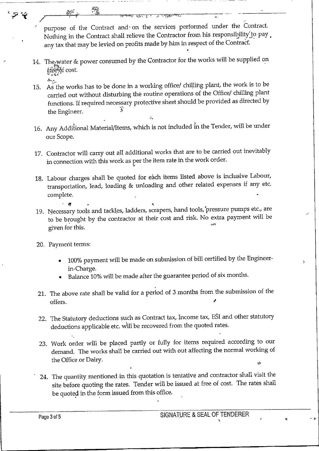purpose of the Contract and on the services performed under the Contract. Nothing in the Contract shall relieve the Contractor from his responsibility to pay. any tax that may be levied on profits made by him in respect of the Contract.

14. The water & power consumed by the Contractor for the works will be supplied on free of cost.

膂

- 'S`.- 15. As the works has to be done in a working office/ chilling plant, the work is to be carried out without disturbing the routine operations of the Office/ chilling plant functions. If required necessary protective sheet should be provided as directed by the Engineer.
- 16. Any Additional Material/Items, which is not included in the Tender, will be under our Scope.
- 17. Contractor will carry out all additional works that are to be carried out inevitably in connection with this work as per the item rate in the work order.
- 18. Labour charges shall be quoted for each items listed above is inclusive Labour, transportation, lead, loading & unloading and other related expenses if any etc. complete.  $\begin{array}{ccc}\n\text{SOLUTION,} \\
\text{lete.} \\
\cdot & \bullet & \cdot\n\end{array}$
- 19. Necessary tools and tackles, ladders, scrapers, hand tools, pressure pumps etc., are to be brought by the contractor at their cost and risk. No extra payment will be given for this.
- 20. Payment terms:

.<br>مبرج<del>ا</del> ع

- 100% payment will be made on submission of bill certified by the Engineerin-Charge.
- Balance 10% will be made after the guarantee period of six months.
- 21. The above rate shall be valid for a period of 3 months from the submission of the offers.  $\blacksquare$
- 22. The Statutory deductions such as Contract tax, Income tax, ESI and other statutory deductions applicable etc. will be recovered from the quoted rates.
- 23. Work order will be placed partly or fully for items required according to our demand. The works shall be carried out with out affecting the normal working of the Office or Dairy.
- 24. The quantity mentioned in this quotation is tentative and contractor shall visit the site before quoting the rates. Tender will be issued at free of cost. The rates shall be quoted in the form issued from this office.

Ņ